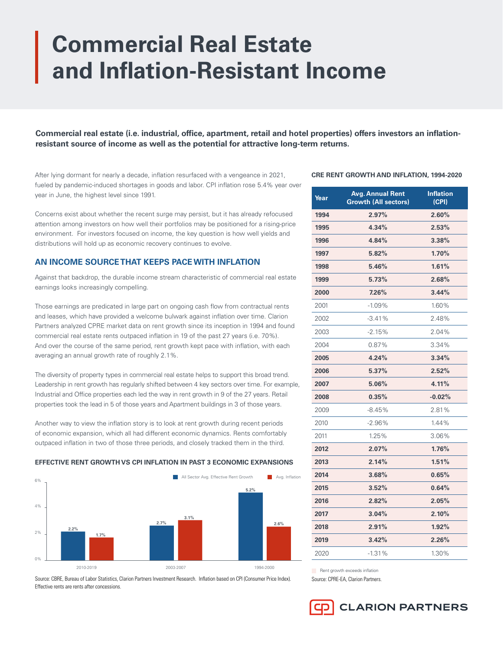# **Commercial Real Estate and Inflation-Resistant Income**

**Commercial real estate (i.e. industrial, office, apartment, retail and hotel properties) offers investors an inflationresistant source of income as well as the potential for attractive long-term returns.**

After lying dormant for nearly a decade, inflation resurfaced with a vengeance in 2021, fueled by pandemic-induced shortages in goods and labor. CPI inflation rose 5.4% year over year in June, the highest level since 1991.

Concerns exist about whether the recent surge may persist, but it has already refocused attention among investors on how well their portfolios may be positioned for a rising-price environment. For investors focused on income, the key question is how well yields and distributions will hold up as economic recovery continues to evolve.

# **AN INCOME SOURCE THAT KEEPS PACE WITH INFLATION**

Against that backdrop, the durable income stream characteristic of commercial real estate earnings looks increasingly compelling.

Those earnings are predicated in large part on ongoing cash flow from contractual rents and leases, which have provided a welcome bulwark against inflation over time. Clarion Partners analyzed CPRE market data on rent growth since its inception in 1994 and found commercial real estate rents outpaced inflation in 19 of the past 27 years (i.e. 70%). And over the course of the same period, rent growth kept pace with inflation, with each averaging an annual growth rate of roughly 2.1%.

The diversity of property types in commercial real estate helps to support this broad trend. Leadership in rent growth has regularly shifted between 4 key sectors over time. For example, Industrial and Office properties each led the way in rent growth in 9 of the 27 years. Retail properties took the lead in 5 of those years and Apartment buildings in 3 of those years.

Another way to view the inflation story is to look at rent growth during recent periods of economic expansion, which all had different economic dynamics. Rents comfortably outpaced inflation in two of those three periods, and closely tracked them in the third.

# **EFFECTIVE RENT GROWTH VS CPI INFLATION IN PAST 3 ECONOMIC EXPANSIONS**



Source: CBRE, Bureau of Labor Statistics, Clarion Partners Investment Research. Inflation based on CPI (Consumer Price Index). Effective rents are rents after concessions.

## **CRE RENT GROWTH AND INFLATION, 1994-2020**

| Year | <b>Avg. Annual Rent</b><br><b>Growth (All sectors)</b> | <b>Inflation</b><br>(CPI) |
|------|--------------------------------------------------------|---------------------------|
| 1994 | 2.97%                                                  | 2.60%                     |
| 1995 | 4.34%                                                  | 2.53%                     |
| 1996 | 4.84%                                                  | 3.38%                     |
| 1997 | 5.82%                                                  | 1.70%                     |
| 1998 | 5.46%                                                  | 1.61%                     |
| 1999 | 5.73%                                                  | 2.68%                     |
| 2000 | 7.26%                                                  | 3.44%                     |
| 2001 | $-1.09%$                                               | 1.60%                     |
| 2002 | $-3.41%$                                               | 2.48%                     |
| 2003 | $-2.15%$                                               | 2.04%                     |
| 2004 | 0.87%                                                  | 3.34%                     |
| 2005 | 4.24%                                                  | 3.34%                     |
| 2006 | 5.37%                                                  | 2.52%                     |
| 2007 | 5.06%                                                  | 4.11%                     |
| 2008 | 0.35%                                                  | $-0.02%$                  |
| 2009 | $-8.45%$                                               | 2.81%                     |
| 2010 | $-2.96%$                                               | 1.44%                     |
| 2011 | 1.25%                                                  | 3.06%                     |
| 2012 | 2.07%                                                  | 1.76%                     |
| 2013 | 2.14%                                                  | 1.51%                     |
| 2014 | 3.68%                                                  | 0.65%                     |
| 2015 | 3.52%                                                  | 0.64%                     |
| 2016 | 2.82%                                                  | 2.05%                     |
| 2017 | 3.04%                                                  | 2.10%                     |
| 2018 | 2.91%                                                  | 1.92%                     |
| 2019 | 3.42%                                                  | 2.26%                     |
| 2020 | $-1.31%$                                               | 1.30%                     |

**Rent growth exceeds inflation** 

Source: CPRE-EA, Clarion Partners.